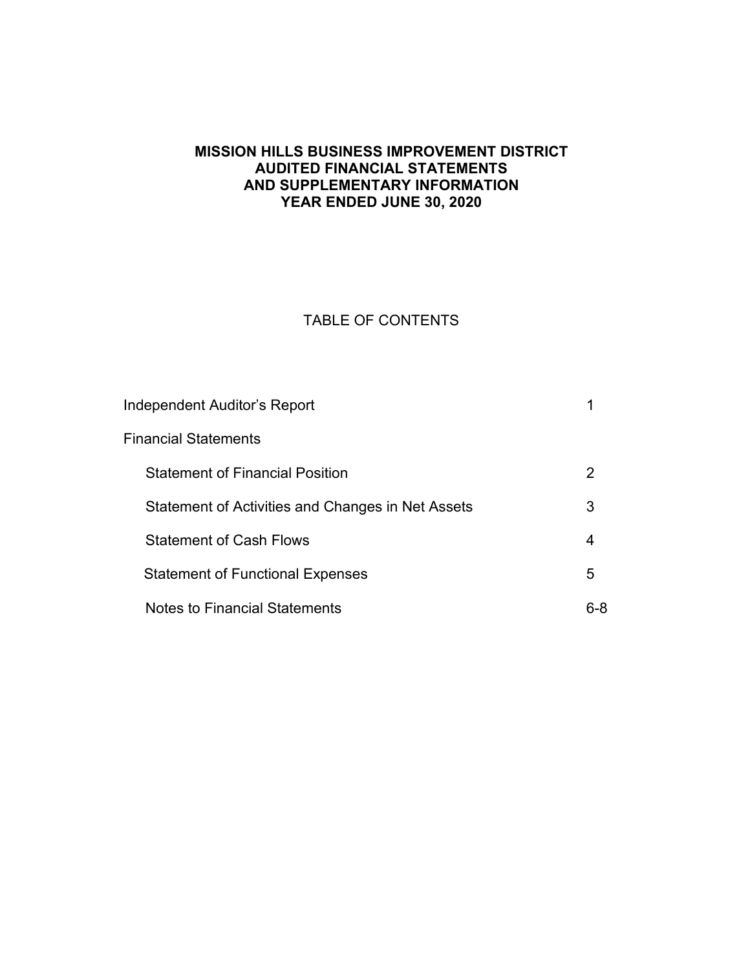# **MISSION HILLS BUSINESS IMPROVEMENT DISTRICT AUDITED FINANCIAL STATEMENTS AND SUPPLEMENTARY INFORMATION YEAR ENDED JUNE 30, 2020**

# TABLE OF CONTENTS

| Independent Auditor's Report                      |     |
|---------------------------------------------------|-----|
| <b>Financial Statements</b>                       |     |
| <b>Statement of Financial Position</b>            | 2   |
| Statement of Activities and Changes in Net Assets | 3   |
| <b>Statement of Cash Flows</b>                    | 4   |
| <b>Statement of Functional Expenses</b>           | 5   |
| <b>Notes to Financial Statements</b>              | 6-8 |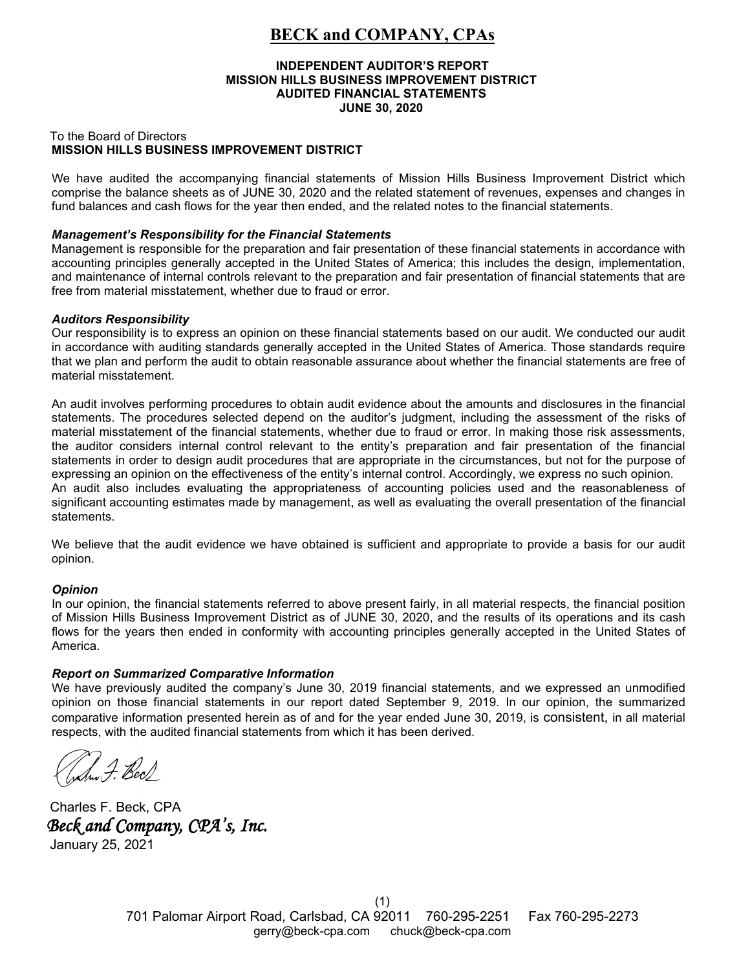# **BECK and COMPANY, CPAs**

#### **INDEPENDENT AUDITOR'S REPORT MISSION HILLS BUSINESS IMPROVEMENT DISTRICT AUDITED FINANCIAL STATEMENTS JUNE 30, 2020**

#### To the Board of Directors **MISSION HILLS BUSINESS IMPROVEMENT DISTRICT**

We have audited the accompanying financial statements of Mission Hills Business Improvement District which comprise the balance sheets as of JUNE 30, 2020 and the related statement of revenues, expenses and changes in fund balances and cash flows for the year then ended, and the related notes to the financial statements.

#### *Management's Responsibility for the Financial Statements*

Management is responsible for the preparation and fair presentation of these financial statements in accordance with accounting principles generally accepted in the United States of America; this includes the design, implementation, and maintenance of internal controls relevant to the preparation and fair presentation of financial statements that are free from material misstatement, whether due to fraud or error.

#### *Auditors Responsibility*

Our responsibility is to express an opinion on these financial statements based on our audit. We conducted our audit in accordance with auditing standards generally accepted in the United States of America. Those standards require that we plan and perform the audit to obtain reasonable assurance about whether the financial statements are free of material misstatement.

An audit involves performing procedures to obtain audit evidence about the amounts and disclosures in the financial statements. The procedures selected depend on the auditor's judgment, including the assessment of the risks of material misstatement of the financial statements, whether due to fraud or error. In making those risk assessments, the auditor considers internal control relevant to the entity's preparation and fair presentation of the financial statements in order to design audit procedures that are appropriate in the circumstances, but not for the purpose of expressing an opinion on the effectiveness of the entity's internal control. Accordingly, we express no such opinion. An audit also includes evaluating the appropriateness of accounting policies used and the reasonableness of significant accounting estimates made by management, as well as evaluating the overall presentation of the financial statements.

We believe that the audit evidence we have obtained is sufficient and appropriate to provide a basis for our audit opinion.

#### *Opinion*

In our opinion, the financial statements referred to above present fairly, in all material respects, the financial position of Mission Hills Business Improvement District as of JUNE 30, 2020, and the results of its operations and its cash flows for the years then ended in conformity with accounting principles generally accepted in the United States of America.

#### *Report on Summarized Comparative Information*

We have previously audited the company's June 30, 2019 financial statements, and we expressed an unmodified opinion on those financial statements in our report dated September 9, 2019. In our opinion, the summarized comparative information presented herein as of and for the year ended June 30, 2019, is consistent, in all material respects, with the audited financial statements from which it has been derived.

When F. Bec/

Charles F. Beck, CPA *Beck and Company, CPA's, Inc.* January 25, 2021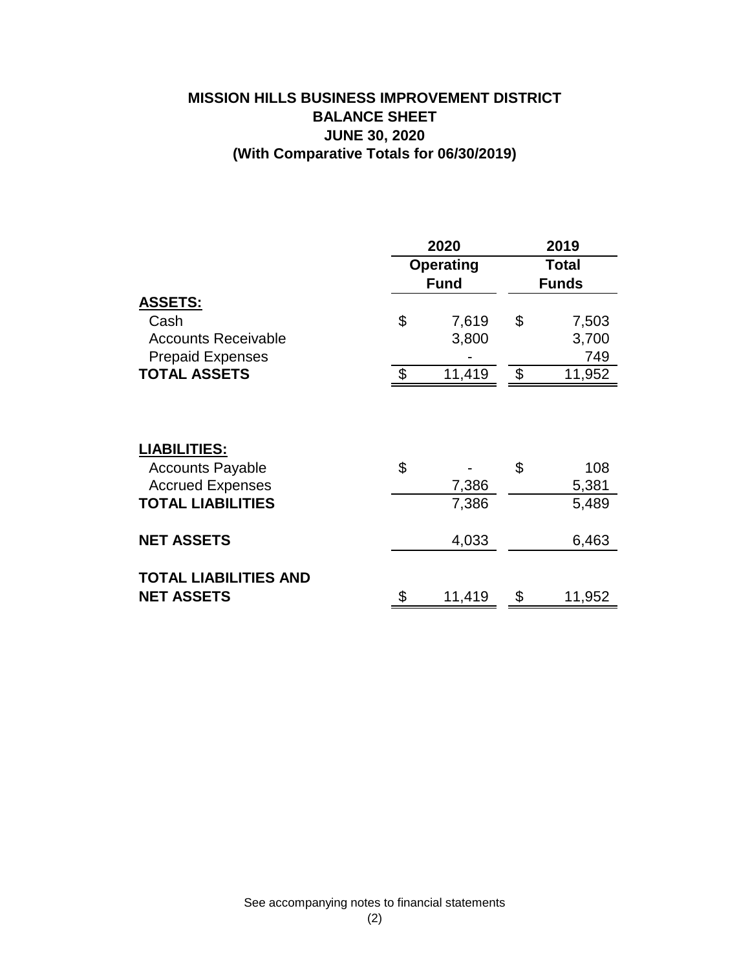# **MISSION HILLS BUSINESS IMPROVEMENT DISTRICT BALANCE SHEET JUNE 30, 2020 (With Comparative Totals for 06/30/2019)**

|                                                                           |                  | 2020   | 2019                       |              |  |
|---------------------------------------------------------------------------|------------------|--------|----------------------------|--------------|--|
|                                                                           | <b>Operating</b> |        | Total                      |              |  |
|                                                                           | <b>Fund</b>      |        | <b>Funds</b>               |              |  |
| <b>ASSETS:</b>                                                            |                  |        |                            |              |  |
| Cash                                                                      | \$               | 7,619  | \$                         | 7,503        |  |
| <b>Accounts Receivable</b>                                                |                  | 3,800  |                            | 3,700        |  |
| <b>Prepaid Expenses</b>                                                   |                  |        |                            | 749          |  |
| <b>TOTAL ASSETS</b>                                                       | $\mathfrak{L}$   | 11,419 | $\boldsymbol{\mathcal{F}}$ | 11,952       |  |
| <b>LIABILITIES:</b><br><b>Accounts Payable</b><br><b>Accrued Expenses</b> | \$               | 7,386  | \$                         | 108<br>5,381 |  |
| <b>TOTAL LIABILITIES</b>                                                  |                  | 7,386  |                            | 5,489        |  |
| <b>NET ASSETS</b>                                                         |                  | 4,033  |                            | 6,463        |  |
| <b>TOTAL LIABILITIES AND</b>                                              |                  |        |                            |              |  |
| <b>NET ASSETS</b>                                                         | \$               | 11,419 | \$                         | 11,952       |  |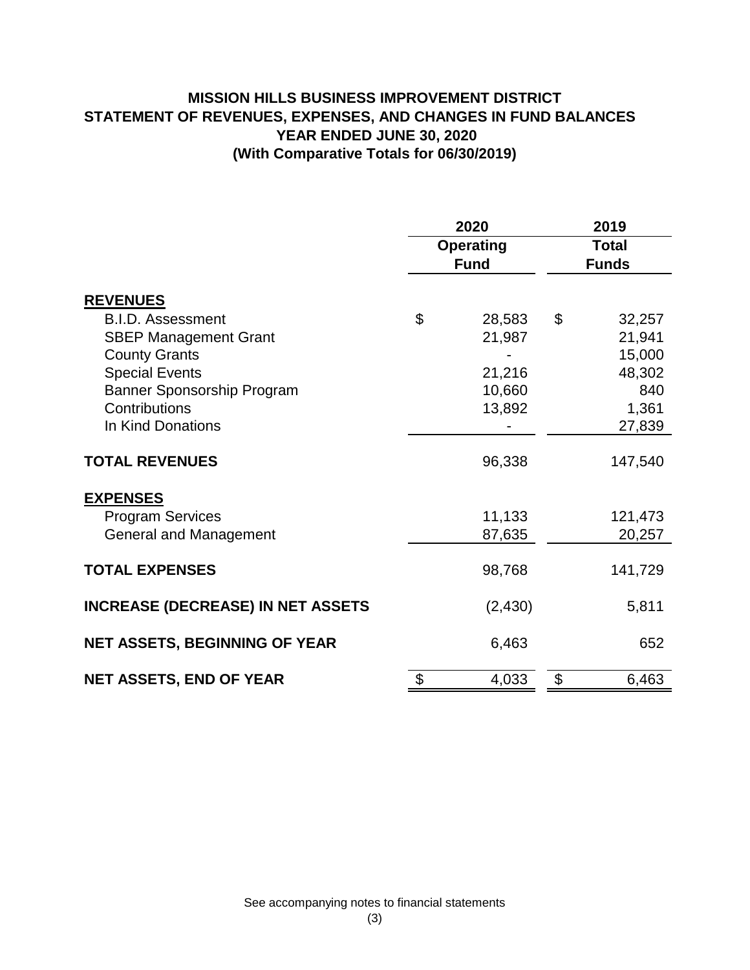# **MISSION HILLS BUSINESS IMPROVEMENT DISTRICT STATEMENT OF REVENUES, EXPENSES, AND CHANGES IN FUND BALANCES YEAR ENDED JUNE 30, 2020 (With Comparative Totals for 06/30/2019)**

|                                          | 2020        |                  |                           | 2019         |  |  |
|------------------------------------------|-------------|------------------|---------------------------|--------------|--|--|
|                                          |             | <b>Operating</b> | <b>Total</b>              |              |  |  |
|                                          | <b>Fund</b> |                  |                           | <b>Funds</b> |  |  |
| <b>REVENUES</b>                          |             |                  |                           |              |  |  |
| <b>B.I.D. Assessment</b>                 | \$          | 28,583           | $\boldsymbol{\mathsf{S}}$ | 32,257       |  |  |
| <b>SBEP Management Grant</b>             |             | 21,987           |                           | 21,941       |  |  |
| <b>County Grants</b>                     |             |                  |                           | 15,000       |  |  |
| <b>Special Events</b>                    |             | 21,216           |                           | 48,302       |  |  |
| Banner Sponsorship Program               |             | 10,660           |                           | 840          |  |  |
| Contributions                            |             | 13,892           |                           | 1,361        |  |  |
| In Kind Donations                        |             |                  |                           | 27,839       |  |  |
| <b>TOTAL REVENUES</b>                    |             | 96,338           |                           | 147,540      |  |  |
| <b>EXPENSES</b>                          |             |                  |                           |              |  |  |
| <b>Program Services</b>                  |             | 11,133           |                           | 121,473      |  |  |
| <b>General and Management</b>            |             | 87,635           |                           | 20,257       |  |  |
| <b>TOTAL EXPENSES</b>                    |             | 98,768           |                           | 141,729      |  |  |
| <b>INCREASE (DECREASE) IN NET ASSETS</b> |             | (2, 430)         |                           | 5,811        |  |  |
| <b>NET ASSETS, BEGINNING OF YEAR</b>     |             | 6,463            |                           | 652          |  |  |
| <b>NET ASSETS, END OF YEAR</b>           |             | 4,033            | \$                        | 6,463        |  |  |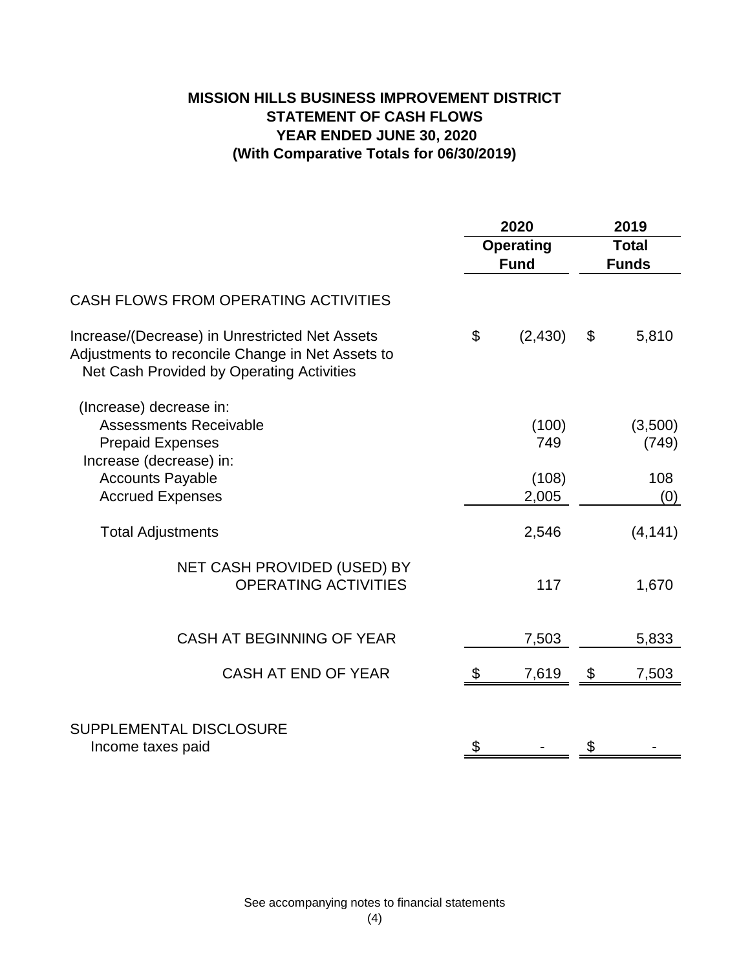# **MISSION HILLS BUSINESS IMPROVEMENT DISTRICT STATEMENT OF CASH FLOWS YEAR ENDED JUNE 30, 2020 (With Comparative Totals for 06/30/2019)**

|                                                                                                                                                 | 2020                            |                | 2019                         |                  |
|-------------------------------------------------------------------------------------------------------------------------------------------------|---------------------------------|----------------|------------------------------|------------------|
|                                                                                                                                                 | <b>Operating</b><br><b>Fund</b> |                | <b>Total</b><br><b>Funds</b> |                  |
| <b>CASH FLOWS FROM OPERATING ACTIVITIES</b>                                                                                                     |                                 |                |                              |                  |
| Increase/(Decrease) in Unrestricted Net Assets<br>Adjustments to reconcile Change in Net Assets to<br>Net Cash Provided by Operating Activities | \$                              | (2, 430)       | $\boldsymbol{\mathsf{S}}$    | 5,810            |
| (Increase) decrease in:<br><b>Assessments Receivable</b><br><b>Prepaid Expenses</b><br>Increase (decrease) in:                                  |                                 | (100)<br>749   |                              | (3,500)<br>(749) |
| <b>Accounts Payable</b><br><b>Accrued Expenses</b>                                                                                              |                                 | (108)<br>2,005 |                              | 108<br>(0)       |
| <b>Total Adjustments</b>                                                                                                                        |                                 | 2,546          |                              | (4, 141)         |
| <b>NET CASH PROVIDED (USED) BY</b><br><b>OPERATING ACTIVITIES</b>                                                                               |                                 | 117            |                              | 1,670            |
| CASH AT BEGINNING OF YEAR                                                                                                                       |                                 | 7,503          |                              | 5,833            |
| CASH AT END OF YEAR                                                                                                                             | \$                              | 7,619          | \$                           | 7,503            |
| SUPPLEMENTAL DISCLOSURE<br>Income taxes paid                                                                                                    | \$                              |                | \$                           |                  |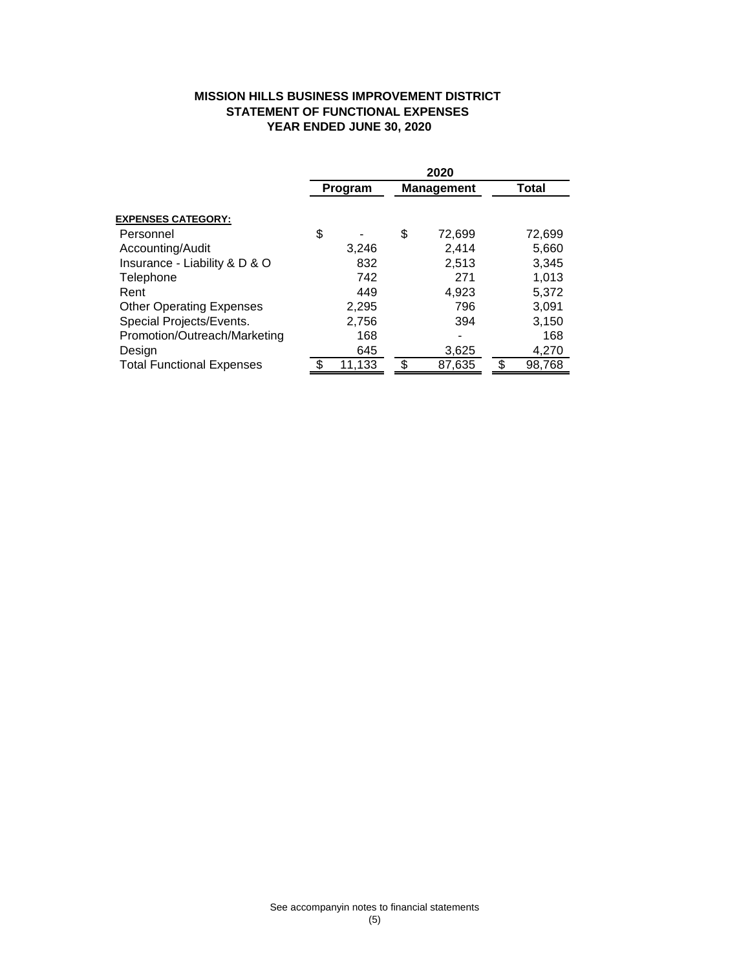# **MISSION HILLS BUSINESS IMPROVEMENT DISTRICT STATEMENT OF FUNCTIONAL EXPENSES YEAR ENDED JUNE 30, 2020**

|                                  | 2020    |        |                   |        |              |        |
|----------------------------------|---------|--------|-------------------|--------|--------------|--------|
|                                  | Program |        | <b>Management</b> |        | <b>Total</b> |        |
|                                  |         |        |                   |        |              |        |
| <b>EXPENSES CATEGORY:</b>        |         |        |                   |        |              |        |
| Personnel                        | \$      |        | \$                | 72,699 |              | 72,699 |
| Accounting/Audit                 |         | 3,246  |                   | 2.414  |              | 5,660  |
| Insurance - Liability & D & O    |         | 832    |                   | 2,513  |              | 3,345  |
| Telephone                        |         | 742    |                   | 271    |              | 1,013  |
| Rent                             |         | 449    |                   | 4,923  |              | 5,372  |
| <b>Other Operating Expenses</b>  |         | 2,295  |                   | 796    |              | 3.091  |
| Special Projects/Events.         |         | 2,756  |                   | 394    |              | 3,150  |
| Promotion/Outreach/Marketing     |         | 168    |                   |        |              | 168    |
| Design                           |         | 645    |                   | 3,625  |              | 4,270  |
| <b>Total Functional Expenses</b> |         | 11,133 |                   | 87,635 |              | 98,768 |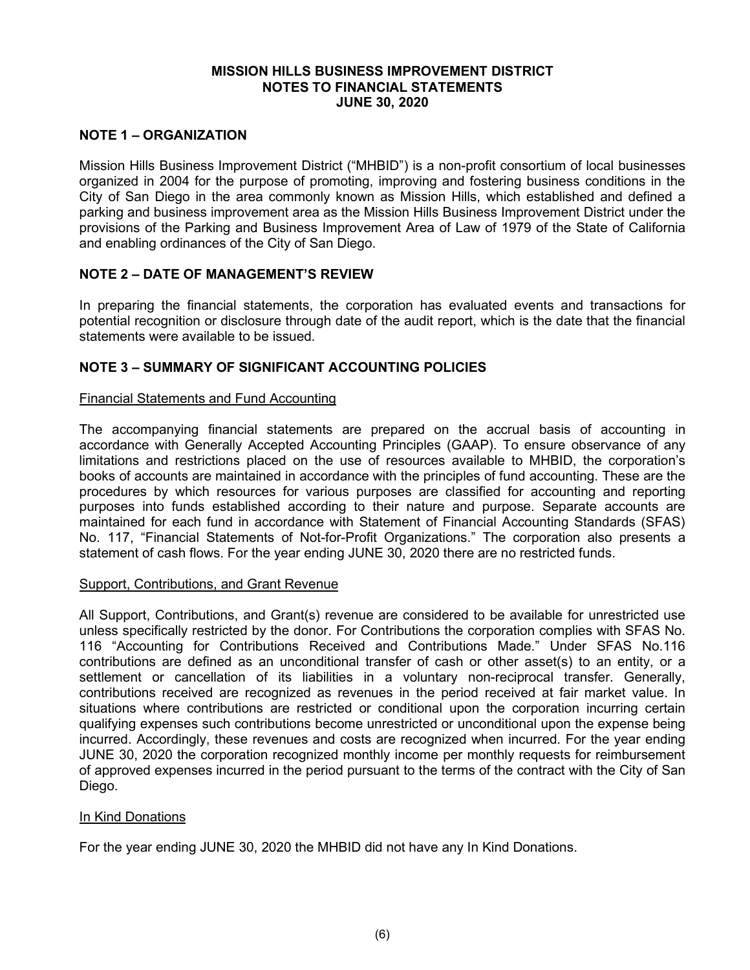### **MISSION HILLS BUSINESS IMPROVEMENT DISTRICT NOTES TO FINANCIAL STATEMENTS JUNE 30, 2020**

# **NOTE 1 – ORGANIZATION**

Mission Hills Business Improvement District ("MHBID") is a non-profit consortium of local businesses organized in 2004 for the purpose of promoting, improving and fostering business conditions in the City of San Diego in the area commonly known as Mission Hills, which established and defined a parking and business improvement area as the Mission Hills Business Improvement District under the provisions of the Parking and Business Improvement Area of Law of 1979 of the State of California and enabling ordinances of the City of San Diego.

# **NOTE 2 – DATE OF MANAGEMENT'S REVIEW**

In preparing the financial statements, the corporation has evaluated events and transactions for potential recognition or disclosure through date of the audit report, which is the date that the financial statements were available to be issued.

# **NOTE 3 – SUMMARY OF SIGNIFICANT ACCOUNTING POLICIES**

### Financial Statements and Fund Accounting

The accompanying financial statements are prepared on the accrual basis of accounting in accordance with Generally Accepted Accounting Principles (GAAP). To ensure observance of any limitations and restrictions placed on the use of resources available to MHBID, the corporation's books of accounts are maintained in accordance with the principles of fund accounting. These are the procedures by which resources for various purposes are classified for accounting and reporting purposes into funds established according to their nature and purpose. Separate accounts are maintained for each fund in accordance with Statement of Financial Accounting Standards (SFAS) No. 117, "Financial Statements of Not-for-Profit Organizations." The corporation also presents a statement of cash flows. For the year ending JUNE 30, 2020 there are no restricted funds.

#### Support, Contributions, and Grant Revenue

All Support, Contributions, and Grant(s) revenue are considered to be available for unrestricted use unless specifically restricted by the donor. For Contributions the corporation complies with SFAS No. 116 "Accounting for Contributions Received and Contributions Made." Under SFAS No.116 contributions are defined as an unconditional transfer of cash or other asset(s) to an entity, or a settlement or cancellation of its liabilities in a voluntary non-reciprocal transfer. Generally, contributions received are recognized as revenues in the period received at fair market value. In situations where contributions are restricted or conditional upon the corporation incurring certain qualifying expenses such contributions become unrestricted or unconditional upon the expense being incurred. Accordingly, these revenues and costs are recognized when incurred. For the year ending JUNE 30, 2020 the corporation recognized monthly income per monthly requests for reimbursement of approved expenses incurred in the period pursuant to the terms of the contract with the City of San Diego.

#### In Kind Donations

For the year ending JUNE 30, 2020 the MHBID did not have any In Kind Donations.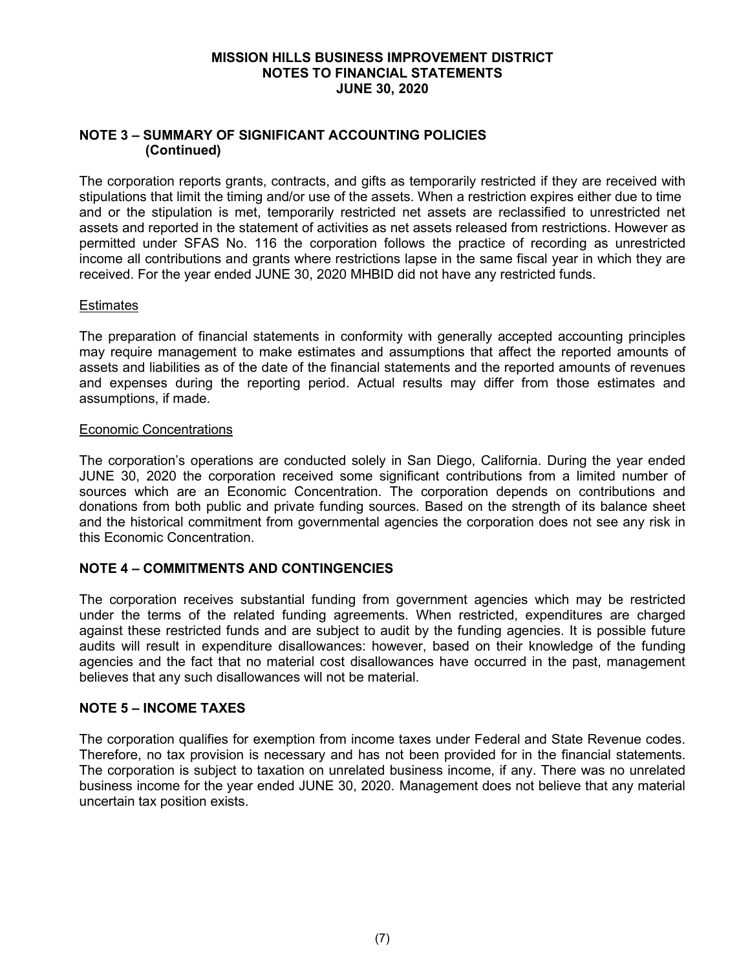#### **MISSION HILLS BUSINESS IMPROVEMENT DISTRICT NOTES TO FINANCIAL STATEMENTS JUNE 30, 2020**

### **NOTE 3 – SUMMARY OF SIGNIFICANT ACCOUNTING POLICIES (Continued)**

The corporation reports grants, contracts, and gifts as temporarily restricted if they are received with stipulations that limit the timing and/or use of the assets. When a restriction expires either due to time and or the stipulation is met, temporarily restricted net assets are reclassified to unrestricted net assets and reported in the statement of activities as net assets released from restrictions. However as permitted under SFAS No. 116 the corporation follows the practice of recording as unrestricted income all contributions and grants where restrictions lapse in the same fiscal year in which they are received. For the year ended JUNE 30, 2020 MHBID did not have any restricted funds.

# **Estimates**

The preparation of financial statements in conformity with generally accepted accounting principles may require management to make estimates and assumptions that affect the reported amounts of assets and liabilities as of the date of the financial statements and the reported amounts of revenues and expenses during the reporting period. Actual results may differ from those estimates and assumptions, if made.

### Economic Concentrations

The corporation's operations are conducted solely in San Diego, California. During the year ended JUNE 30, 2020 the corporation received some significant contributions from a limited number of sources which are an Economic Concentration. The corporation depends on contributions and donations from both public and private funding sources. Based on the strength of its balance sheet and the historical commitment from governmental agencies the corporation does not see any risk in this Economic Concentration.

# **NOTE 4 – COMMITMENTS AND CONTINGENCIES**

The corporation receives substantial funding from government agencies which may be restricted under the terms of the related funding agreements. When restricted, expenditures are charged against these restricted funds and are subject to audit by the funding agencies. It is possible future audits will result in expenditure disallowances: however, based on their knowledge of the funding agencies and the fact that no material cost disallowances have occurred in the past, management believes that any such disallowances will not be material.

# **NOTE 5 – INCOME TAXES**

The corporation qualifies for exemption from income taxes under Federal and State Revenue codes. Therefore, no tax provision is necessary and has not been provided for in the financial statements. The corporation is subject to taxation on unrelated business income, if any. There was no unrelated business income for the year ended JUNE 30, 2020. Management does not believe that any material uncertain tax position exists.